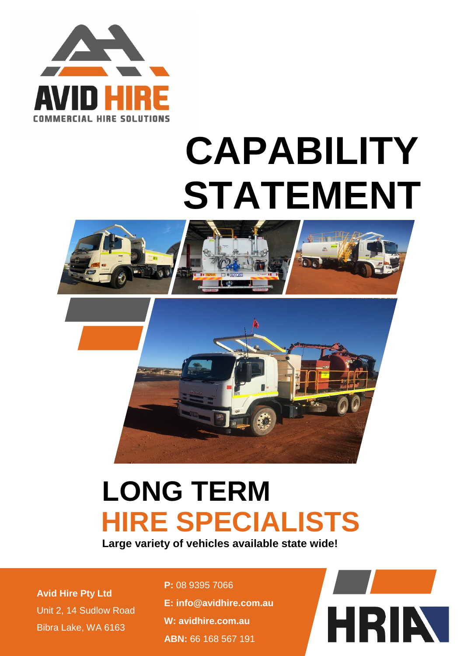

# **CAPABILITY STATEMENT**





# **LONG TERM HIRE SPECIALISTS**

**Large variety of vehicles available state wide!**

**Avid Hire Pty Ltd** Unit 2, 14 Sudlow Road Bibra Lake, WA 6163

**P:** 08 9395 7066 **E: [info@avidhire.com.au](mailto:info@avidhire.com.au) W: [avidhire.com.au](http://www.avidhire.com.au/) ABN:** 66 168 567 191

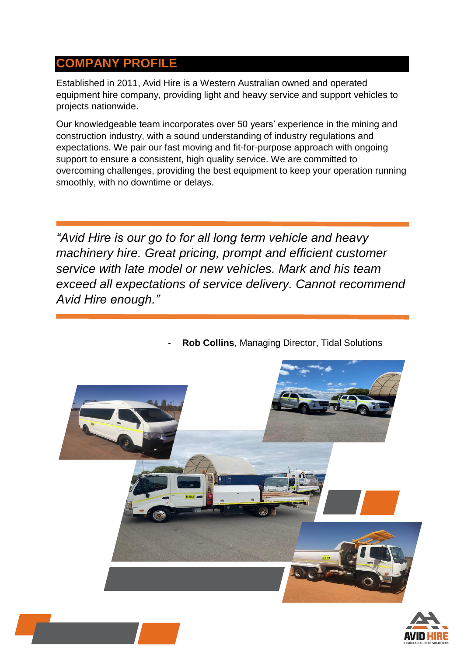# **COMPANY PROFILE**

Established in 2011, Avid Hire is a Western Australian owned and operated equipment hire company, providing light and heavy service and support vehicles to projects nationwide.

Our knowledgeable team incorporates over 50 years' experience in the mining and construction industry, with a sound understanding of industry regulations and expectations. We pair our fast moving and fit-for-purpose approach with ongoing support to ensure a consistent, high quality service. We are committed to overcoming challenges, providing the best equipment to keep your operation running smoothly, with no downtime or delays.

*"Avid Hire is our go to for all long term vehicle and heavy machinery hire. Great pricing, prompt and efficient customer service with late model or new vehicles. Mark and his team exceed all expectations of service delivery. Cannot recommend Avid Hire enough."*





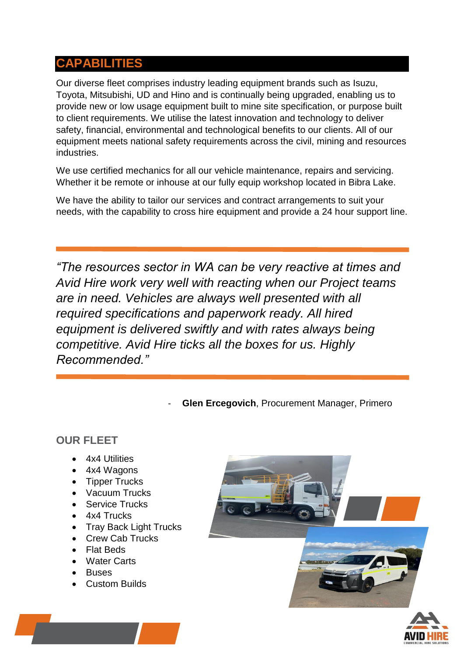# **CAPABILITIES**

Our diverse fleet comprises industry leading equipment brands such as Isuzu, Toyota, Mitsubishi, UD and Hino and is continually being upgraded, enabling us to provide new or low usage equipment built to mine site specification, or purpose built to client requirements. We utilise the latest innovation and technology to deliver safety, financial, environmental and technological benefits to our clients. All of our equipment meets national safety requirements across the civil, mining and resources industries.

We use certified mechanics for all our vehicle maintenance, repairs and servicing. Whether it be remote or inhouse at our fully equip workshop located in Bibra Lake.

We have the ability to tailor our services and contract arrangements to suit your needs, with the capability to cross hire equipment and provide a 24 hour support line.

*"The resources sector in WA can be very reactive at times and Avid Hire work very well with reacting when our Project teams are in need. Vehicles are always well presented with all required specifications and paperwork ready. All hired equipment is delivered swiftly and with rates always being competitive. Avid Hire ticks all the boxes for us. Highly Recommended."*

**Glen Ercegovich, Procurement Manager, Primero** 

#### **OUR FLEET**

- 4x4 Utilities
- 4x4 Wagons
- Tipper Trucks
- Vacuum Trucks
- Service Trucks
- 4x4 Trucks
- Tray Back Light Trucks
- Crew Cab Trucks
- Flat Beds
- Water Carts
- **Buses**
- Custom Builds



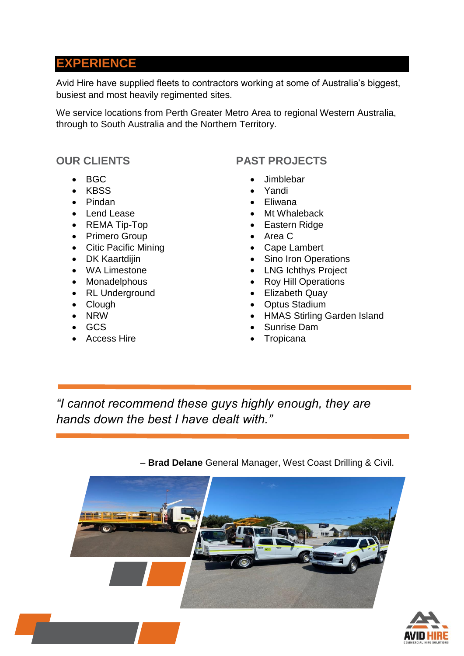# **EXPERIENCE**

Avid Hire have supplied fleets to contractors working at some of Australia's biggest, busiest and most heavily regimented sites.

We service locations from Perth Greater Metro Area to regional Western Australia, through to South Australia and the Northern Territory.

#### **OUR CLIENTS**

- BGC
- KBSS
- Pindan
- Lend Lease
- REMA Tip-Top
- Primero Group
- Citic Pacific Mining
- DK Kaartdijin
- WA Limestone
- Monadelphous
- RL Underground
- Clough
- NRW
- GCS
- Access Hire

## **PAST PROJECTS**

- **Jimblebar**
- Yandi
- Eliwana
- Mt Whaleback
- Eastern Ridge
- Area C
- Cape Lambert
- Sino Iron Operations
- LNG Ichthys Project
- Roy Hill Operations
- Elizabeth Quay
- Optus Stadium
- HMAS Stirling Garden Island
- Sunrise Dam
- **Tropicana**

*"I cannot recommend these guys highly enough, they are hands down the best I have dealt with."*

– **Brad Delane** General Manager, West Coast Drilling & Civil.